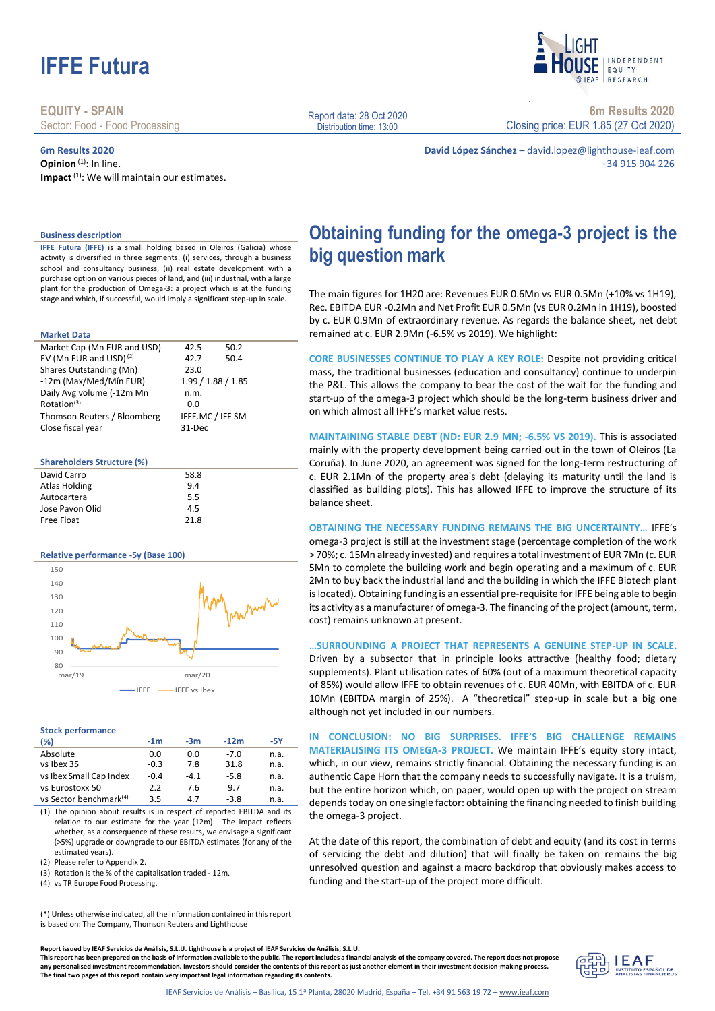

**EQUITY - SPAIN** Sector: Food - Food Processing

**6m Results 2020 Opinion**<sup>(1)</sup>: In line. Impact<sup>(1)</sup>: We will maintain our estimates.



**6m Results 2020** Closing price: EUR 1.85 (27 Oct 2020)

**David López Sánchez** – david.lopez@lighthouse-ieaf.com +34 915 904 226

**Obtaining funding for the omega-3 project is the** 

The main figures for 1H20 are: Revenues EUR 0.6Mn vs EUR 0.5Mn (+10% vs 1H19), Rec. EBITDA EUR -0.2Mn and Net Profit EUR 0.5Mn (vs EUR 0.2Mn in 1H19), boosted by c. EUR 0.9Mn of extraordinary revenue. As regards the balance sheet, net debt

**CORE BUSINESSES CONTINUE TO PLAY A KEY ROLE:** Despite not providing critical mass, the traditional businesses (education and consultancy) continue to underpin the P&L. This allows the company to bear the cost of the wait for the funding and start-up of the omega-3 project which should be the long-term business driver and

**MAINTAINING STABLE DEBT (ND: EUR 2.9 MN; -6.5% VS 2019).** This is associated mainly with the property development being carried out in the town of Oleiros (La Coruña). In June 2020, an agreement was signed for the long-term restructuring of c. EUR 2.1Mn of the property area's debt (delaying its maturity until the land is classified as building plots). This has allowed IFFE to improve the structure of its

**OBTAINING THE NECESSARY FUNDING REMAINS THE BIG UNCERTAINTY…** IFFE's omega-3 project is still at the investment stage (percentage completion of the work > 70%; c. 15Mn already invested) and requires a total investment of EUR 7Mn (c. EUR 5Mn to complete the building work and begin operating and a maximum of c. EUR 2Mn to buy back the industrial land and the building in which the IFFE Biotech plant is located). Obtaining funding is an essential pre-requisite for IFFE being able to begin its activity as a manufacturer of omega-3. The financing of the project (amount, term,

remained at c. EUR 2.9Mn (-6.5% vs 2019). We highlight:

on which almost all IFFE's market value rests.

cost) remains unknown at present.

balance sheet.

### **Business description**

**IFFE Futura (IFFE)** is a small holding based in Oleiros (Galicia) whose activity is diversified in three segments: (i) services, through a business school and consultancy business, (ii) real estate development with a purchase option on various pieces of land, and (iii) industrial, with a large plant for the production of Omega-3: a project which is at the funding stage and which, if successful, would imply a significant step-up in scale.

#### **Market Data**

| Market Cap (Mn EUR and USD)        | 42.5               | 50.2 |
|------------------------------------|--------------------|------|
| EV (Mn EUR and USD) <sup>(2)</sup> | 42.7               | 50.4 |
| Shares Outstanding (Mn)            | 23.0               |      |
| -12m (Max/Med/Mín EUR)             | 1.99 / 1.88 / 1.85 |      |
| Daily Avg volume (-12m Mn          | n.m.               |      |
| Rotation <sup>(3)</sup>            | 0.0                |      |
| Thomson Reuters / Bloomberg        | IFFE.MC / IFF SM   |      |
| Close fiscal year                  | 31-Dec             |      |

#### **Shareholders Structure (%)**

| David Carro          | 58.8 |  |
|----------------------|------|--|
| <b>Atlas Holding</b> | 9.4  |  |
| Autocartera          | 5.5  |  |
| Jose Pavon Olid      | 4.5  |  |
| Free Float           | 21.8 |  |
|                      |      |  |

#### **Relative performance -5y (Base 100)**



### **Stock performance**

| (%)                                | $-1m$  | $-3m$  | $-12m$ | -5Y  |
|------------------------------------|--------|--------|--------|------|
| Absolute                           | 0.0    | 0.0    | $-7.0$ | n.a. |
| vs Ibex 35                         | $-0.3$ | 7.8    | 31.8   | n.a. |
| vs Ibex Small Cap Index            | $-0.4$ | $-4.1$ | $-5.8$ | n.a. |
| vs Eurostoxx 50                    | 2.2    | 7.6    | 9.7    | n.a. |
| vs Sector benchmark <sup>(4)</sup> | 3.5    | 4.7    | $-3.8$ | n.a. |

(1) The opinion about results is in respect of reported EBITDA and its relation to our estimate for the year (12m). The impact reflects whether, as a consequence of these results, we envisage a significant (>5%) upgrade or downgrade to our EBITDA estimates (for any of the estimated years).

(2) Please refer to Appendix 2.

(3) Rotation is the % of the capitalisation traded - 12m.

(4) vs TR Europe Food Processing.

**…SURROUNDING A PROJECT THAT REPRESENTS A GENUINE STEP-UP IN SCALE.**  Driven by a subsector that in principle looks attractive (healthy food; dietary supplements). Plant utilisation rates of 60% (out of a maximum theoretical capacity of 85%) would allow IFFE to obtain revenues of c. EUR 40Mn, with EBITDA of c. EUR 10Mn (EBITDA margin of 25%). A "theoretical" step-up in scale but a big one although not yet included in our numbers.

**IN CONCLUSION: NO BIG SURPRISES. IFFE'S BIG CHALLENGE REMAINS MATERIALISING ITS OMEGA-3 PROJECT.** We maintain IFFE's equity story intact, which, in our view, remains strictly financial. Obtaining the necessary funding is an authentic Cape Horn that the company needs to successfully navigate. It is a truism, but the entire horizon which, on paper, would open up with the project on stream depends today on one single factor: obtaining the financing needed to finish building the omega-3 project.

At the date of this report, the combination of debt and equity (and its cost in terms of servicing the debt and dilution) that will finally be taken on remains the big unresolved question and against a macro backdrop that obviously makes access to funding and the start-up of the project more difficult.

(\*) Unless otherwise indicated, all the information contained in this report is based on: The Company, Thomson Reuters and Lighthouse

**Report issued by IEAF Servicios de Análisis, S.L.U. Lighthouse is a project of IEAF Servicios de Análisis, S.L.U. This report has been prepared on the basis of information available to the public. The report includes a financial analysis of the company covered. The report does not propose any personalised investment recommendation. Investors should consider the contents of this report as just another element in their investment decision-making process. The final two pages of this report contain very important legal information regarding its contents.**



Report date: 28 Oct 2020 Distribution time: 13:00

**big question mark**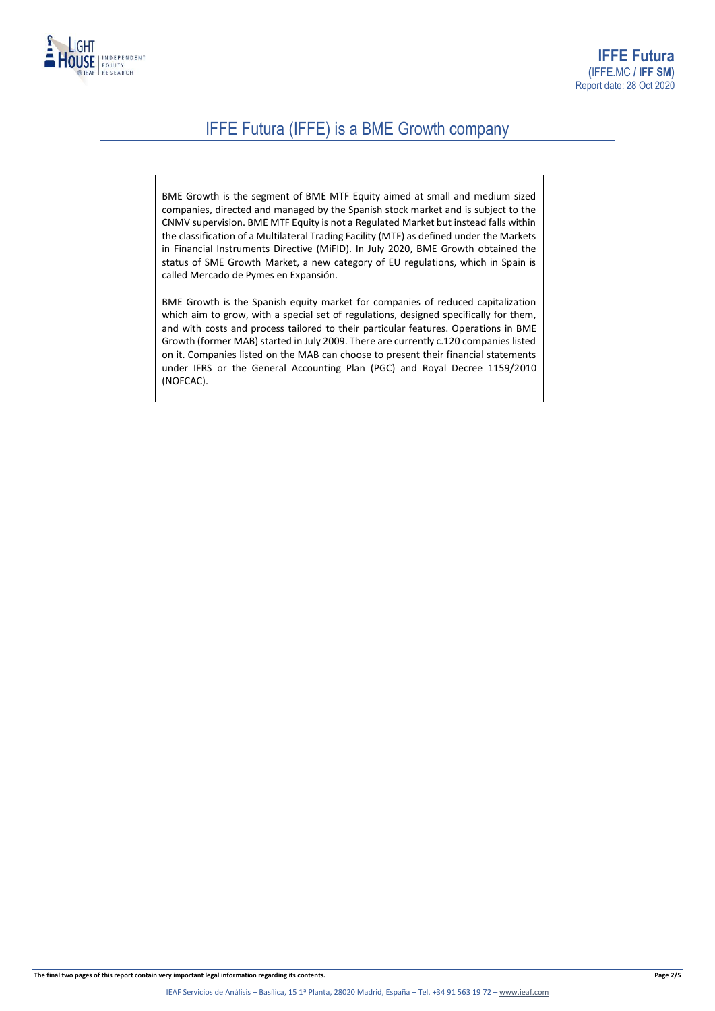

### IFFE Futura (IFFE) is a BME Growth company

BME Growth is the segment of BME MTF Equity aimed at small and medium sized companies, directed and managed by the Spanish stock market and is subject to the CNMV supervision. BME MTF Equity is not a Regulated Market but instead falls within the classification of a Multilateral Trading Facility (MTF) as defined under the Markets in Financial Instruments Directive (MiFID). In July 2020, BME Growth obtained the status of SME Growth Market, a new category of EU regulations, which in Spain is called Mercado de Pymes en Expansión.

BME Growth is the Spanish equity market for companies of reduced capitalization which aim to grow, with a special set of regulations, designed specifically for them, and with costs and process tailored to their particular features. Operations in BME Growth (former MAB) started in July 2009. There are currently c.120 companies listed on it. Companies listed on the MAB can choose to present their financial statements under IFRS or the General Accounting Plan (PGC) and Royal Decree 1159/2010 (NOFCAC).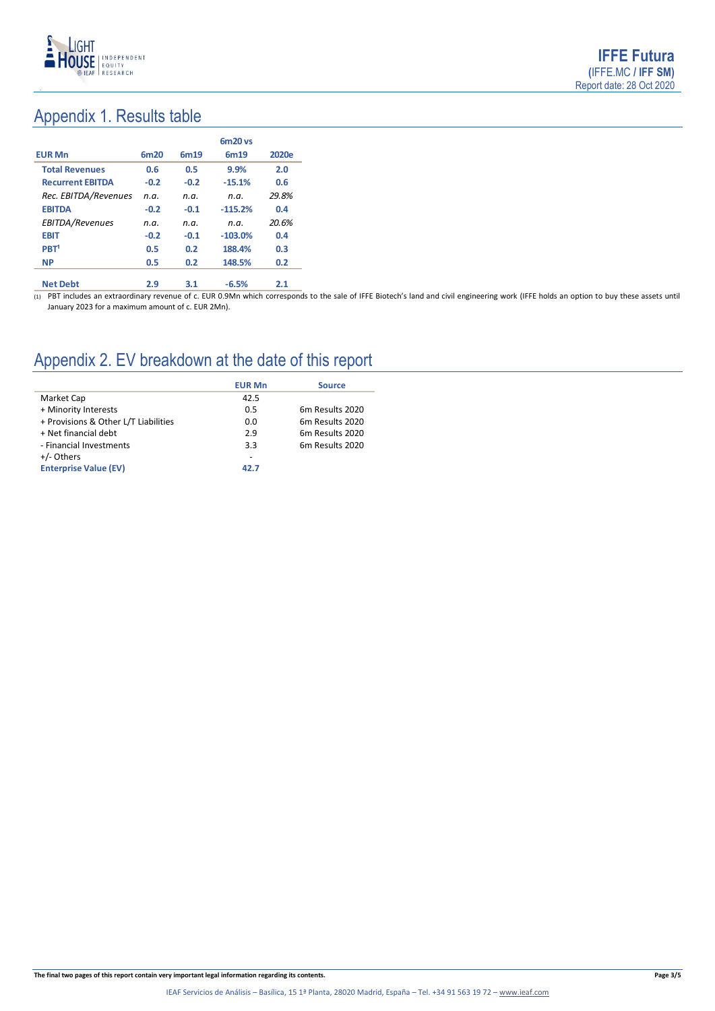

# Appendix 1. Results table

|                         |        |        | $6m20$ vs |       |
|-------------------------|--------|--------|-----------|-------|
| <b>EUR Mn</b>           | 6m20   | 6m19   | 6m19      | 2020e |
| <b>Total Revenues</b>   | 0.6    | 0.5    | 9.9%      | 2.0   |
| <b>Recurrent EBITDA</b> | $-0.2$ | $-0.2$ | $-15.1%$  | 0.6   |
| Rec. EBITDA/Revenues    | n.a.   | n.a.   | n.a.      | 29.8% |
| <b>EBITDA</b>           | $-0.2$ | $-0.1$ | $-115.2%$ | 0.4   |
| EBITDA/Revenues         | n.a.   | n.a.   | n.a.      | 20.6% |
| <b>EBIT</b>             | $-0.2$ | $-0.1$ | $-103.0%$ | 0.4   |
| PBT <sup>1</sup>        | 0.5    | 0.2    | 188.4%    | 0.3   |
| <b>NP</b>               | 0.5    | 0.2    | 148.5%    | 0.2   |
| <b>Net Debt</b>         | 2.9    | 3.1    | $-6.5%$   | 2.1   |

 $(1)$  PBT includes an extraordinary revenue of c. EUR 0.9Mn which corresponds to the sale of IFFE Biotech's land and civil engineering work (IFFE holds an option to buy these assets until January 2023 for a maximum amount of c. EUR 2Mn).

# Appendix 2. EV breakdown at the date of this report

|                                      | <b>EUR Mn</b> | <b>Source</b>               |
|--------------------------------------|---------------|-----------------------------|
| Market Cap                           | 42.5          |                             |
| + Minority Interests                 | 0.5           | 6 <sub>m</sub> Results 2020 |
| + Provisions & Other L/T Liabilities | 0.0           | 6 <sub>m</sub> Results 2020 |
| + Net financial debt                 | 2.9           | 6 <sub>m</sub> Results 2020 |
| - Financial Investments              | 3.3           | 6m Results 2020             |
| +/- Others                           | -             |                             |
| <b>Enterprise Value (EV)</b>         | 42.7          |                             |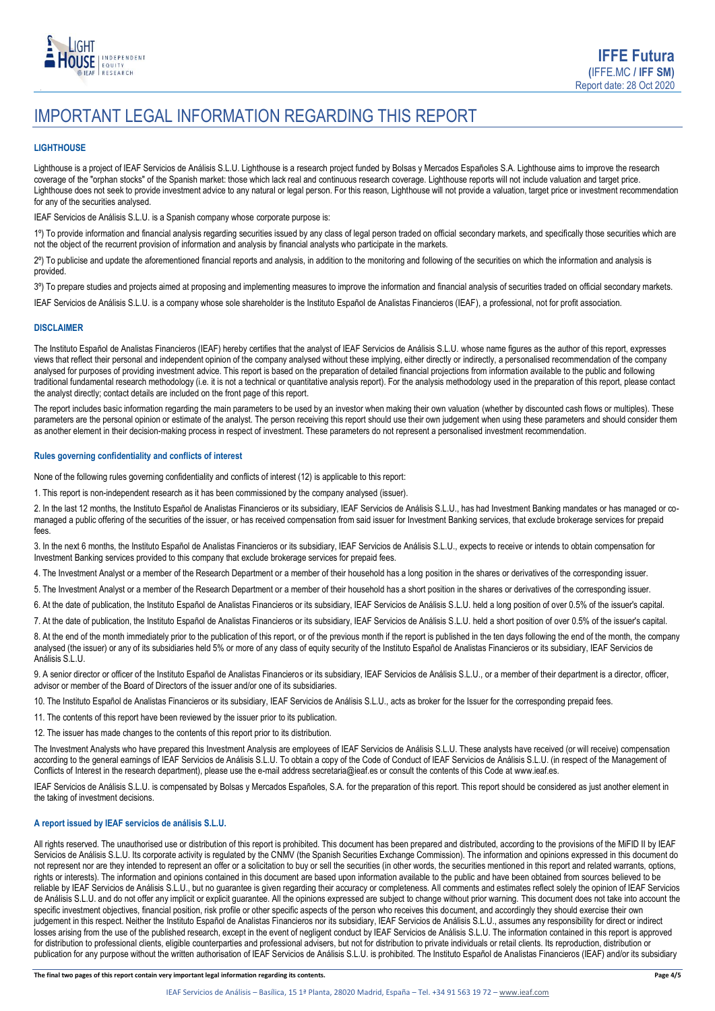

## IMPORTANT LEGAL INFORMATION REGARDING THIS REPORT

### **LIGHTHOUSE**

Lighthouse is a project of IEAF Servicios de Análisis S.L.U. Lighthouse is a research project funded by Bolsas y Mercados Españoles S.A. Lighthouse aims to improve the research coverage of the "orphan stocks" of the Spanish market: those which lack real and continuous research coverage. Lighthouse reports will not include valuation and target price. Lighthouse does not seek to provide investment advice to any natural or legal person. For this reason, Lighthouse will not provide a valuation, target price or investment recommendation for any of the securities analysed.

IEAF Servicios de Análisis S.L.U. is a Spanish company whose corporate purpose is:

1<sup>o</sup>) To provide information and financial analysis regarding securities issued by any class of legal person traded on official secondary markets, and specifically those securities which are not the object of the recurrent provision of information and analysis by financial analysts who participate in the markets.

2º) To publicise and update the aforementioned financial reports and analysis, in addition to the monitoring and following of the securities on which the information and analysis is provided.

3<sup>o</sup>) To prepare studies and projects aimed at proposing and implementing measures to improve the information and financial analysis of securities traded on official secondary markets.

IEAF Servicios de Análisis S.L.U. is a company whose sole shareholder is the Instituto Español de Analistas Financieros (IEAF), a professional, not for profit association.

### **DISCLAIMER**

The Instituto Español de Analistas Financieros (IEAF) hereby certifies that the analyst of IEAF Servicios de Análisis S.L.U. whose name figures as the author of this report, expresses views that reflect their personal and independent opinion of the company analysed without these implying, either directly or indirectly, a personalised recommendation of the company analysed for purposes of providing investment advice. This report is based on the preparation of detailed financial projections from information available to the public and following traditional fundamental research methodology (i.e. it is not a technical or quantitative analysis report). For the analysis methodology used in the preparation of this report, please contact the analyst directly; contact details are included on the front page of this report.

The report includes basic information regarding the main parameters to be used by an investor when making their own valuation (whether by discounted cash flows or multiples). These parameters are the personal opinion or estimate of the analyst. The person receiving this report should use their own judgement when using these parameters and should consider them as another element in their decision-making process in respect of investment. These parameters do not represent a personalised investment recommendation.

### **Rules governing confidentiality and conflicts of interest**

None of the following rules governing confidentiality and conflicts of interest (12) is applicable to this report:

1. This report is non-independent research as it has been commissioned by the company analysed (issuer).

2. In the last 12 months, the Instituto Español de Analistas Financieros or its subsidiary, IEAF Servicios de Análisis S.L.U., has had Investment Banking mandates or has managed or comanaged a public offering of the securities of the issuer, or has received compensation from said issuer for Investment Banking services, that exclude brokerage services for prepaid fees.

3. In the next 6 months, the Instituto Español de Analistas Financieros or its subsidiary, IEAF Servicios de Análisis S.L.U., expects to receive or intends to obtain compensation for Investment Banking services provided to this company that exclude brokerage services for prepaid fees.

4. The Investment Analyst or a member of the Research Department or a member of their household has a long position in the shares or derivatives of the corresponding issuer.

5. The Investment Analyst or a member of the Research Department or a member of their household has a short position in the shares or derivatives of the corresponding issuer.

6. At the date of publication, the Instituto Español de Analistas Financieros or its subsidiary, IEAF Servicios de Análisis S.L.U. held a long position of over 0.5% of the issuer's capital.

7. At the date of publication, the Instituto Español de Analistas Financieros or its subsidiary, IEAF Servicios de Análisis S.L.U. held a short position of over 0.5% of the issuer's capital.

8. At the end of the month immediately prior to the publication of this report, or of the previous month if the report is published in the ten days following the end of the month, the company analysed (the issuer) or any of its subsidiaries held 5% or more of any class of equity security of the Instituto Español de Analistas Financieros or its subsidiary, IEAF Servicios de Análisis S.L.U.

9. A senior director or officer of the Instituto Español de Analistas Financieros or its subsidiary, IEAF Servicios de Análisis S.L.U., or a member of their department is a director, officer, advisor or member of the Board of Directors of the issuer and/or one of its subsidiaries.

10. The Instituto Español de Analistas Financieros or its subsidiary, IEAF Servicios de Análisis S.L.U., acts as broker for the Issuer for the corresponding prepaid fees.

11. The contents of this report have been reviewed by the issuer prior to its publication.

12. The issuer has made changes to the contents of this report prior to its distribution.

The Investment Analysts who have prepared this Investment Analysis are employees of IEAF Servicios de Análisis S.L.U. These analysts have received (or will receive) compensation according to the general earnings of IEAF Servicios de Análisis S.L.U. To obtain a copy of the Code of Conduct of IEAF Servicios de Análisis S.L.U. (in respect of the Management of Conflicts of Interest in the research department), please use the e-mail address secretaria@ieaf.es or consult the contents of this Code at [www.ieaf.es.](https://www.ieaf.es/images/IEAF/LIGHTHOUSE/IEAF_LIGHTHOUSE_CodigoDeConducta.pdf) 

IEAF Servicios de Análisis S.L.U. is compensated by Bolsas y Mercados Españoles, S.A. for the preparation of this report. This report should be considered as just another element in the taking of investment decisions.

### **A report issued by IEAF servicios de análisis S.L.U.**

All rights reserved. The unauthorised use or distribution of this report is prohibited. This document has been prepared and distributed, according to the provisions of the MiFID II by IEAF Servicios de Análisis S.L.U. Its corporate activity is regulated by the CNMV (the Spanish Securities Exchange Commission). The information and opinions expressed in this document do not represent nor are they intended to represent an offer or a solicitation to buy or sell the securities (in other words, the securities mentioned in this report and related warrants, options, rights or interests). The information and opinions contained in this document are based upon information available to the public and have been obtained from sources believed to be reliable by IEAF Servicios de Análisis S.L.U., but no guarantee is given regarding their accuracy or completeness. All comments and estimates reflect solely the opinion of IEAF Servicios de Análisis S.L.U. and do not offer any implicit or explicit guarantee. All the opinions expressed are subject to change without prior warning. This document does not take into account the specific investment objectives, financial position, risk profile or other specific aspects of the person who receives this document, and accordingly they should exercise their own judgement in this respect. Neither the Instituto Español de Analistas Financieros nor its subsidiary, IEAF Servicios de Análisis S.L.U., assumes any responsibility for direct or indirect losses arising from the use of the published research, except in the event of negligent conduct by IEAF Servicios de Análisis S.L.U. The information contained in this report is approved for distribution to professional clients, eligible counterparties and professional advisers, but not for distribution to private individuals or retail clients. Its reproduction, distribution or publication for any purpose without the written authorisation of IEAF Servicios de Análisis S.L.U. is prohibited. The Instituto Español de Analistas Financieros (IEAF) and/or its subsidiary